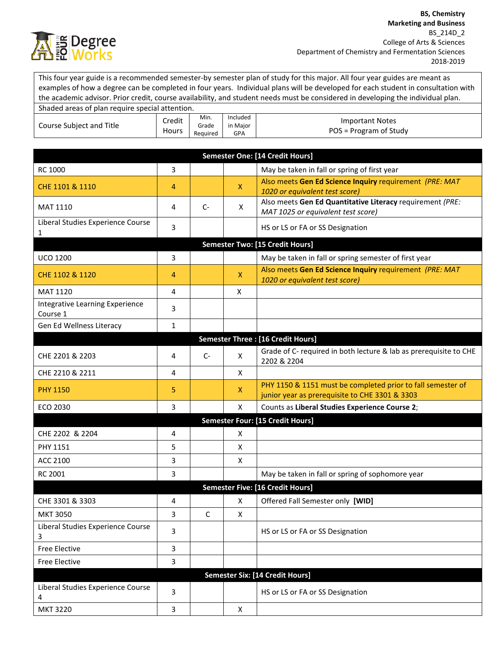

This four year guide is a recommended semester-by semester plan of study for this major. All four year guides are meant as examples of how a degree can be completed in four years. Individual plans will be developed for each student in consultation with the academic advisor. Prior credit, course availability, and student needs must be considered in developing the individual plan.

| Shaded areas of plan require special attention. |                 |                           |                             |                                                  |
|-------------------------------------------------|-----------------|---------------------------|-----------------------------|--------------------------------------------------|
| Course Subject and Title                        | Credit<br>Hours | Min.<br>Grade<br>Reguired | Included<br>in Maior<br>GPA | <b>Important Notes</b><br>POS = Program of Study |

| Semester One: [14 Credit Hours]             |              |              |              |                                                                                                               |
|---------------------------------------------|--------------|--------------|--------------|---------------------------------------------------------------------------------------------------------------|
| RC 1000                                     | 3            |              |              | May be taken in fall or spring of first year                                                                  |
| CHE 1101 & 1110                             | 4            |              | $\mathsf{X}$ | Also meets Gen Ed Science Inquiry requirement (PRE: MAT<br>1020 or equivalent test score)                     |
| <b>MAT 1110</b>                             | 4            | $C-$         | X            | Also meets Gen Ed Quantitative Literacy requirement (PRE:<br>MAT 1025 or equivalent test score)               |
| Liberal Studies Experience Course<br>1      | 3            |              |              | HS or LS or FA or SS Designation                                                                              |
|                                             |              |              |              | <b>Semester Two: [15 Credit Hours]</b>                                                                        |
| <b>UCO 1200</b>                             | 3            |              |              | May be taken in fall or spring semester of first year                                                         |
| CHE 1102 & 1120                             | 4            |              | $\mathsf{X}$ | Also meets Gen Ed Science Inquiry requirement (PRE: MAT<br>1020 or equivalent test score)                     |
| MAT 1120                                    | 4            |              | X            |                                                                                                               |
| Integrative Learning Experience<br>Course 1 | 3            |              |              |                                                                                                               |
| Gen Ed Wellness Literacy                    | $\mathbf{1}$ |              |              |                                                                                                               |
|                                             |              |              |              | <b>Semester Three: [16 Credit Hours]</b>                                                                      |
| CHE 2201 & 2203                             | 4            | $C-$         | X            | Grade of C- required in both lecture & lab as prerequisite to CHE<br>2202 & 2204                              |
| CHE 2210 & 2211                             | 4            |              | X            |                                                                                                               |
| <b>PHY 1150</b>                             | 5            |              | X            | PHY 1150 & 1151 must be completed prior to fall semester of<br>junior year as prerequisite to CHE 3301 & 3303 |
| ECO 2030                                    | 3            |              | X            | Counts as Liberal Studies Experience Course 2;                                                                |
|                                             |              |              |              | Semester Four: [15 Credit Hours]                                                                              |
| CHE 2202 & 2204                             | 4            |              | X            |                                                                                                               |
| <b>PHY 1151</b>                             | 5            |              | X            |                                                                                                               |
| ACC 2100                                    | 3            |              | X            |                                                                                                               |
| RC 2001                                     | 3            |              |              | May be taken in fall or spring of sophomore year                                                              |
|                                             |              |              |              | <b>Semester Five: [16 Credit Hours]</b>                                                                       |
| CHE 3301 & 3303                             | 4            |              | X            | Offered Fall Semester only [WID]                                                                              |
| <b>MKT 3050</b>                             | 3            | $\mathsf{C}$ | X            |                                                                                                               |
| Liberal Studies Experience Course<br>3      | 3            |              |              | HS or LS or FA or SS Designation                                                                              |
| <b>Free Elective</b>                        | 3            |              |              |                                                                                                               |
| <b>Free Elective</b>                        | 3            |              |              |                                                                                                               |
|                                             |              |              |              | Semester Six: [14 Credit Hours]                                                                               |
| Liberal Studies Experience Course<br>4      | 3            |              |              | HS or LS or FA or SS Designation                                                                              |
| <b>MKT 3220</b>                             | 3            |              | X            |                                                                                                               |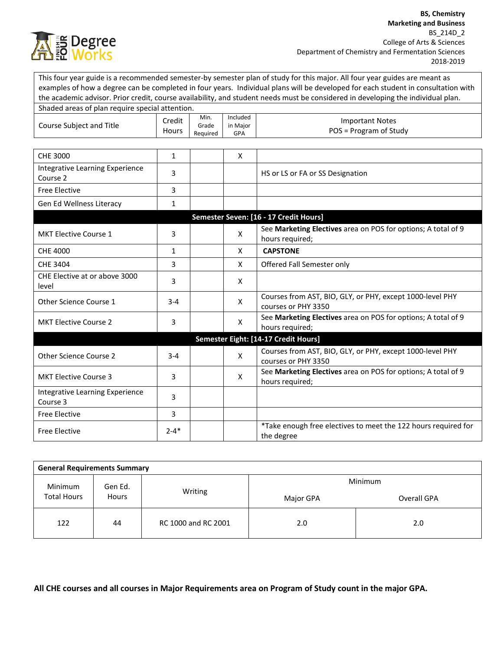

This four year guide is a recommended semester-by semester plan of study for this major. All four year guides are meant as examples of how a degree can be completed in four years. Individual plans will be developed for each student in consultation with the academic advisor. Prior credit, course availability, and student needs must be considered in developing the individual plan.

| Shaded areas of plan require special attention. |                 |                           |                                    |                                                                                  |
|-------------------------------------------------|-----------------|---------------------------|------------------------------------|----------------------------------------------------------------------------------|
| Course Subject and Title                        | Credit<br>Hours | Min.<br>Grade<br>Required | Included<br>in Major<br><b>GPA</b> | <b>Important Notes</b><br>POS = Program of Study                                 |
|                                                 |                 |                           |                                    |                                                                                  |
| CHE 3000                                        | $\mathbf{1}$    |                           | X                                  |                                                                                  |
| Integrative Learning Experience<br>Course 2     | 3               |                           |                                    | HS or LS or FA or SS Designation                                                 |
| <b>Free Elective</b>                            | 3               |                           |                                    |                                                                                  |
| Gen Ed Wellness Literacy                        | $\mathbf{1}$    |                           |                                    |                                                                                  |
|                                                 |                 |                           |                                    | Semester Seven: [16 - 17 Credit Hours]                                           |
| <b>MKT Elective Course 1</b>                    | 3               |                           | X                                  | See Marketing Electives area on POS for options; A total of 9<br>hours required; |
| CHE 4000                                        | 1               |                           | X                                  | <b>CAPSTONE</b>                                                                  |
| CHE 3404                                        | 3               |                           | X                                  | Offered Fall Semester only                                                       |
| CHE Elective at or above 3000<br>level          | 3               |                           | X                                  |                                                                                  |
| Other Science Course 1                          | $3 - 4$         |                           | X                                  | Courses from AST, BIO, GLY, or PHY, except 1000-level PHY<br>courses or PHY 3350 |
| <b>MKT Elective Course 2</b>                    | 3               |                           | X                                  | See Marketing Electives area on POS for options; A total of 9<br>hours required; |
|                                                 |                 |                           |                                    | Semester Eight: [14-17 Credit Hours]                                             |
| Other Science Course 2                          | $3 - 4$         |                           | X                                  | Courses from AST, BIO, GLY, or PHY, except 1000-level PHY<br>courses or PHY 3350 |
| <b>MKT Elective Course 3</b>                    | 3               |                           | X                                  | See Marketing Electives area on POS for options; A total of 9<br>hours required; |
| Integrative Learning Experience<br>Course 3     | 3               |                           |                                    |                                                                                  |
| <b>Free Elective</b>                            | 3               |                           |                                    |                                                                                  |
| <b>Free Elective</b>                            | $2 - 4*$        |                           |                                    | *Take enough free electives to meet the 122 hours required for<br>the degree     |

| <b>General Requirements Summary</b> |    |                     |           |             |  |  |
|-------------------------------------|----|---------------------|-----------|-------------|--|--|
| Minimum<br>Gen Ed.                  |    | Minimum             |           |             |  |  |
| <b>Total Hours</b><br><b>Hours</b>  |    | Writing             | Major GPA | Overall GPA |  |  |
| 122                                 | 44 | RC 1000 and RC 2001 | 2.0       | 2.0         |  |  |

**All CHE courses and all courses in Major Requirements area on Program of Study count in the major GPA.**